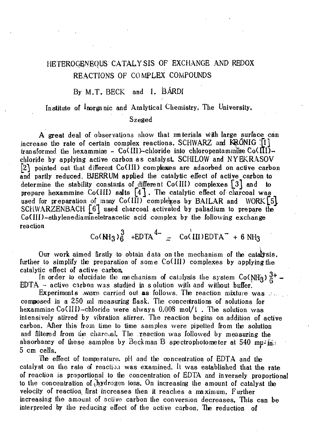# HETEROGENEOUS CATALYSIS OF EXCHANGE AND REDOX REACTIONS OF COMPLEX COMPOUNDS

## By M.T. BECK and I. BÁRDI

#### Institute of Inorganic and Analytical Chemistry, The University.

#### Szeged

A great deal of observations show that ma terials with large surface can increase the rate of certain complex reactions, SCHWARZ and KRÓNIG  $\lceil 1 \rceil$ transformed the hexammine - Co(III)-chloride into chloropentammine  $Co(\Pi I)$ chloride by applying active carbon as catalyst. SCHILOW and NYEKRASOV {2} pointed out that different Co (III) complexes are adsorbed on active carbon and partly reduced. BJERRUM applied the catalytic effect of active carbon to determine the stability constants of different  $Co(HI)$  complexes  $\begin{bmatrix} 3 \end{bmatrix}$  and to prepare hexammine Co(III) salts  $[4]$ . The catalytic effect of charcoal was used for preparation of many  $Co(III)$  complexes by BAILAR and WORK [5] SCHWARZENBACH  $\lceil 6 \rceil$  used charcoal activated by palladium to prepare the  $Co(III)$ -ethylenediaminetetraacetic acid complex by the following exchange reaction and the contraction of the contraction of the contraction of the contraction of the contraction of the

 $Co(MH_3)_{0}^{\times}$  +EDTA<sup> $T_{\text{eff}}$ </sup> Co(III)EDTA<sup>-</sup> + 6 NH<sub>3</sub>

Our work aimed firstly to obtain data on the mechanism of the catalysis, further to simplify the preparation of some  $Co(III)$  complexes by applying the catalytic effect of active carbon.

In order to elucidate the mechanism of catalysis the system Co(NHg)  $^{3+}_{6}$  - $EDTA - active$  carbon was studied in s olution with and without buffer.

Experiments .wux carried out as follows. The reaction mixture was  $\mathcal{L}_{\mathcal{L}}$ composed in a 250 rnl measuring flask. Tlie concentrations of solutions for hexammine Co(III)-chloride were always 0,008 mol/1. The solution was intensively stirred by vibration stirrer. The reaction begins on addition of active carbon. After this from time to time samples were pipetted from tie solution and filtered from tie charcoal. The .reaction was followed by measuring the absorbancy of these samples by Beckman B spectrophotometer at 540 mu-in; 5 cm cells.

Tie effect of temperature. pH and tie concentration of EDTA and tie catalyst on the rate of reaction was examined. It was established that the rate of reaction is proportional to tie concentration of EDTA and inversely proportional to the concentration of hydrogen ions. On increasing the amount of catalyst the velocity of reaction first increases then it reaches a maximum. Further increasing the amount of active carbon the conversion decreases. This can be interpreted by the reducing effect of the active carbon. He reduction of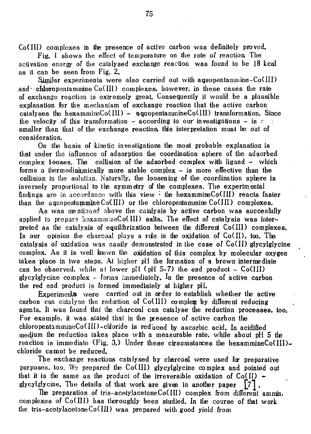CoCIII) complexes in the presence of active carbon was definitely proved.

Fig. 1 shows the effect of temperature on the rate of reaction The activation energy of the catalysed excliange reaction was found to be 18 kcal as it can be seen from Fig. 2.

Similar experiments were also carried out with aquopentammine-Co(III) and chloropentammine  $Co(HI)$  complexes, however, in these cases the rate of exchange reaction is extremely great. Consequently it would be a plausible explanation for the mechanism of exchange reaction that the active carbon catalyses the hexammine $Co(HI)$  - aquopentammine $Co(HI)$  transformation. Since the velocity of this transformation  $\sim$  according to our investigations  $\sim$  is  $\epsilon$ . smaller than that of the exchange reaction this interpretation must be out of consideration.

On Ithe basis of kinetic investigations the most probable explanation is that under the influence of adsorption the coordination spliere of the adsorbed complex 100ses. The collision of the adsorbed complex with ligand  $-$  which forms a thermodinamically more stable complex - is more effective than the collision in the solution. Naturally, the loosening of the coordination spliere is inversely proportional to the symmetry of the complexes. The experimental findings are in accordance with this view  $\cdot$  the hexammineCo(III) reacts faster than the aquopentammine  $Co(HI)$  or the chloropentammine  $Co(HI)$  complexes.

As was mentioned above the catalysis by active carbon was succesfully applied to prepare hexammineCo(III) salts. The effect of catalysis was interpreted as tie catalysis of equilibrization between the different CoC III) complexes. In our opinion the charcoal plays a role in the oxidation of Co(II), too. The catalysis of oxidation was easily demonstrated in the case of CoCII) glycylglycine complex. As it is well known the oxidation of this complex by molecular oxygen takes place in two steps. At higher pll the formation of a brown intermediate can be observed, while at lower pH  $\text{c}$  (pH 5-7) the end product - Co(III) glycylglycine complex - forms immediately. In tie presence of active carbon the red end product is formed immediately at higher pH.

Experiments were carried out in order to establish whether tie active carbon can catalyse the reduction of  $Co(HI)$  complex by different reducing agents. It was found that the charcoal can catalyse the reduction processes, too. For example, it was stated that in the presence of active carbon the chloropentammineCo(III)-chloride is reduced by ascorbic acid. In acidified medium the reduction takes place with a measurable rate, while about pH 5 the reaction is immediate (Fig. 3.) Under these cirsumstances the hexammineCo(III)chloride cannot be reduced.

The exchange reactions catalysed by charcoal were used for preparative purposes, too. We prepared the CoC III) glycylglycine complex and pointed out that it is the same as the product of the irreversible oxidation of Co(II)  $\sim$ glycylglycine. The details of that work are given in another paper

He preparation of tris-acetylacetoneCoCIII) complex from different ammin, complexes of Co(III) has thoroughly been studied. In the course of that work the tris-acetylacetoneCo(III) was prepared with good yield from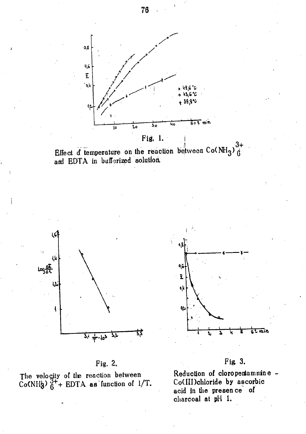









The velocity of the reaction between<br>Co(NHg)  $6^{+}$ + EDTA as function of 1/T.



Reduction of cloropentammine -Co(III)chloride by ascorbic acid in the presence of charcoal at pH 1.